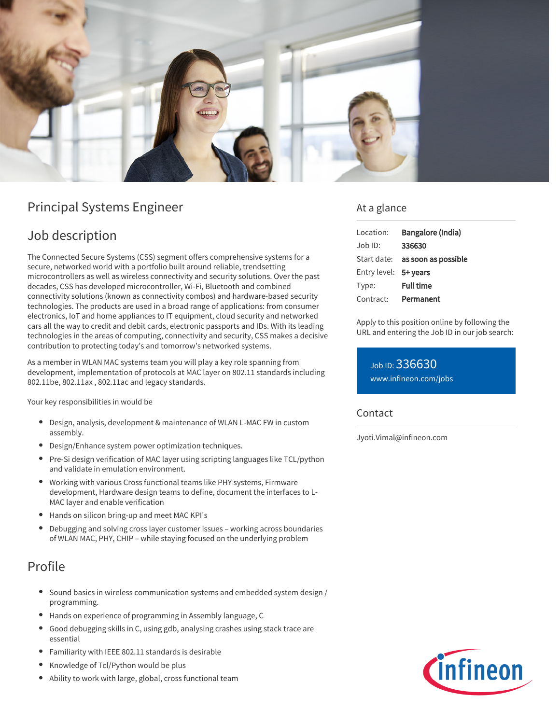

# Principal Systems Engineer

# Job description

The Connected Secure Systems (CSS) segment offers comprehensive systems for a secure, networked world with a portfolio built around reliable, trendsetting microcontrollers as well as wireless connectivity and security solutions. Over the past decades, CSS has developed microcontroller, Wi-Fi, Bluetooth and combined connectivity solutions (known as connectivity combos) and hardware-based security technologies. The products are used in a broad range of applications: from consumer electronics, IoT and home appliances to IT equipment, cloud security and networked cars all the way to credit and debit cards, electronic passports and IDs. With its leading technologies in the areas of computing, connectivity and security, CSS makes a decisive contribution to protecting today's and tomorrow's networked systems.

As a member in WLAN MAC systems team you will play a key role spanning from development, implementation of protocols at MAC layer on 802.11 standards including 802.11be, 802.11ax , 802.11ac and legacy standards.

Your key responsibilities in would be

- Design, analysis, development & maintenance of WLAN L-MAC FW in custom assembly.
- Design/Enhance system power optimization techniques.
- Pre-Si design verification of MAC layer using scripting languages like TCL/python and validate in emulation environment.
- Working with various Cross functional teams like PHY systems, Firmware development, Hardware design teams to define, document the interfaces to L-MAC layer and enable verification
- Hands on silicon bring-up and meet MAC KPI's
- Debugging and solving cross layer customer issues working across boundaries of WLAN MAC, PHY, CHIP – while staying focused on the underlying problem

# Profile

- Sound basics in wireless communication systems and embedded system design / programming.
- Hands on experience of programming in Assembly language, C
- Good debugging skills in C, using gdb, analysing crashes using stack trace are essential
- Familiarity with IEEE 802.11 standards is desirable
- Knowledge of Tcl/Python would be plus
- Ability to work with large, global, cross functional team

### At a glance

| Location:             | Bangalore (India)                      |
|-----------------------|----------------------------------------|
| $Joh$ ID:             | 336630                                 |
|                       | Start date: <b>as soon as possible</b> |
| Entry level: 5+ years |                                        |
| Type:                 | <b>Full time</b>                       |
| Contract:             | Permanent                              |

Apply to this position online by following the URL and entering the Job ID in our job search:

Job ID: 336630 [www.infineon.com/jobs](https://www.infineon.com/jobs)

#### **Contact**

Jyoti.Vimal@infineon.com